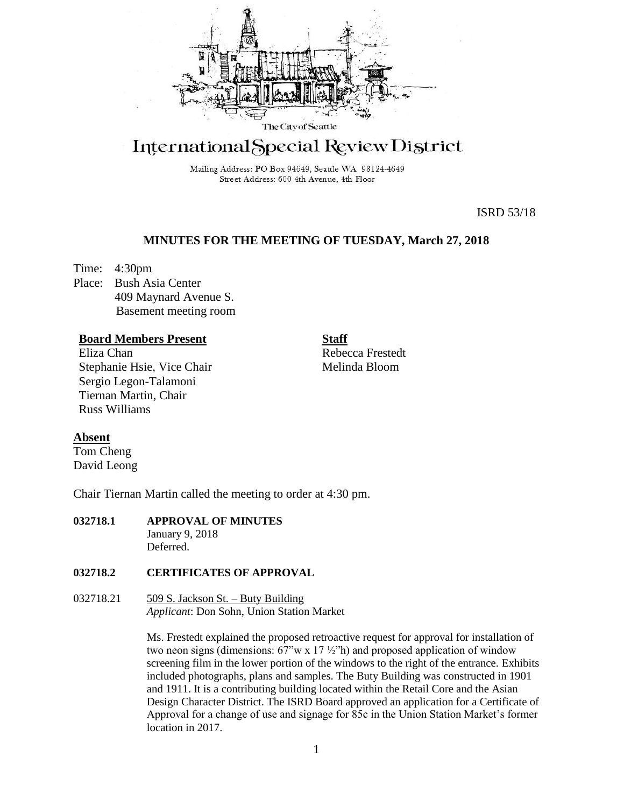

# International Special Review District

Mailing Address: PO Box 94649, Seattle WA 98124-4649 Street Address: 600 4th Avenue, 4th Floor

ISRD 53/18

## **MINUTES FOR THE MEETING OF TUESDAY, March 27, 2018**

Time: 4:30pm Place: Bush Asia Center 409 Maynard Avenue S. Basement meeting room

## **Board Members Present**

Eliza Chan Stephanie Hsie, Vice Chair Sergio Legon-Talamoni Tiernan Martin, Chair Russ Williams

Rebecca Frestedt Melinda Bloom

**Staff**

## **Absent**

Tom Cheng David Leong

Chair Tiernan Martin called the meeting to order at 4:30 pm.

#### **032718.1 APPROVAL OF MINUTES** January 9, 2018 Deferred.

#### **032718.2 CERTIFICATES OF APPROVAL**

032718.21  $\qquad 509$  S. Jackson St. – Buty Building *Applicant*: Don Sohn, Union Station Market

> Ms. Frestedt explained the proposed retroactive request for approval for installation of two neon signs (dimensions:  $67$ "w x  $17\frac{1}{2}$ "h) and proposed application of window screening film in the lower portion of the windows to the right of the entrance. Exhibits included photographs, plans and samples. The Buty Building was constructed in 1901 and 1911. It is a contributing building located within the Retail Core and the Asian Design Character District. The ISRD Board approved an application for a Certificate of Approval for a change of use and signage for 85c in the Union Station Market's former location in 2017.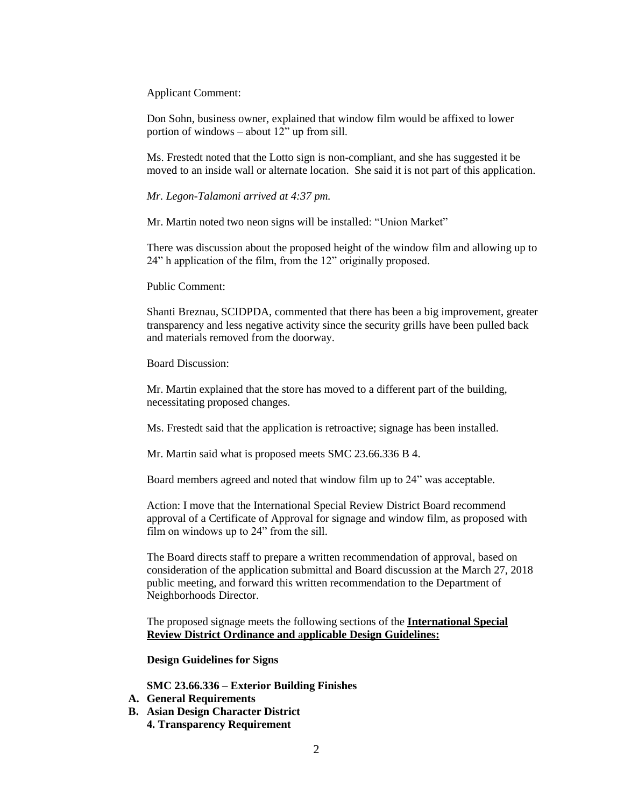Applicant Comment:

Don Sohn, business owner, explained that window film would be affixed to lower portion of windows – about 12" up from sill.

Ms. Frestedt noted that the Lotto sign is non-compliant, and she has suggested it be moved to an inside wall or alternate location. She said it is not part of this application.

*Mr. Legon-Talamoni arrived at 4:37 pm.*

Mr. Martin noted two neon signs will be installed: "Union Market"

There was discussion about the proposed height of the window film and allowing up to 24" h application of the film, from the 12" originally proposed.

Public Comment:

Shanti Breznau, SCIDPDA, commented that there has been a big improvement, greater transparency and less negative activity since the security grills have been pulled back and materials removed from the doorway.

Board Discussion:

Mr. Martin explained that the store has moved to a different part of the building, necessitating proposed changes.

Ms. Frestedt said that the application is retroactive; signage has been installed.

Mr. Martin said what is proposed meets SMC 23.66.336 B 4.

Board members agreed and noted that window film up to 24" was acceptable.

Action: I move that the International Special Review District Board recommend approval of a Certificate of Approval for signage and window film, as proposed with film on windows up to 24" from the sill.

The Board directs staff to prepare a written recommendation of approval, based on consideration of the application submittal and Board discussion at the March 27, 2018 public meeting, and forward this written recommendation to the Department of Neighborhoods Director.

The proposed signage meets the following sections of the **International Special Review District Ordinance and** a**pplicable Design Guidelines:**

**Design Guidelines for Signs** 

**SMC 23.66.336 – Exterior Building Finishes**

- **A. General Requirements**
- **B. Asian Design Character District**
	- **4. Transparency Requirement**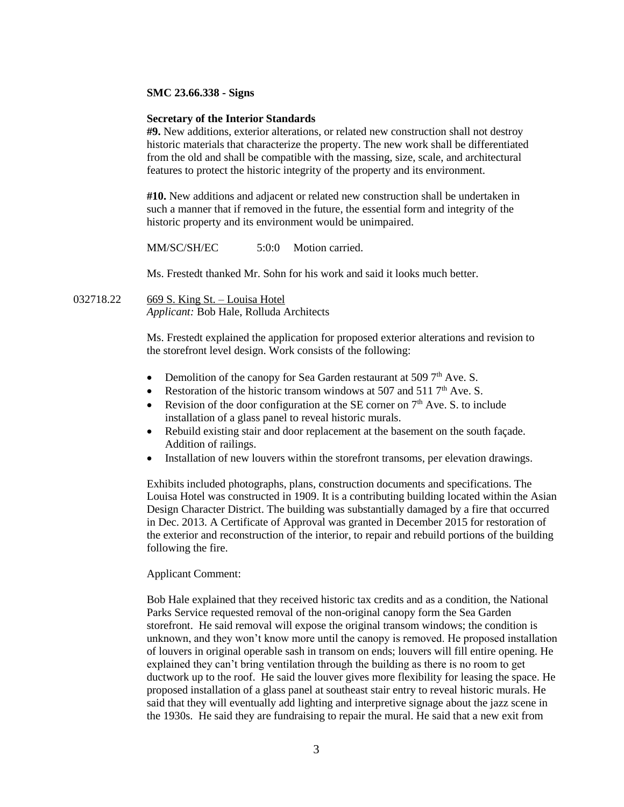#### **SMC 23.66.338 - Signs**

#### **Secretary of the Interior Standards**

**#9.** New additions, exterior alterations, or related new construction shall not destroy historic materials that characterize the property. The new work shall be differentiated from the old and shall be compatible with the massing, size, scale, and architectural features to protect the historic integrity of the property and its environment.

**#10.** New additions and adjacent or related new construction shall be undertaken in such a manner that if removed in the future, the essential form and integrity of the historic property and its environment would be unimpaired.

MM/SC/SH/EC 5:0:0 Motion carried.

Ms. Frestedt thanked Mr. Sohn for his work and said it looks much better.

032718.22 669 S. King St. – Louisa Hotel *Applicant:* Bob Hale, Rolluda Architects

> Ms. Frestedt explained the application for proposed exterior alterations and revision to the storefront level design. Work consists of the following:

- Demolition of the canopy for Sea Garden restaurant at 509  $7<sup>th</sup>$  Ave. S.
- Restoration of the historic transom windows at 507 and 511  $7<sup>th</sup>$  Ave. S.
- Revision of the door configuration at the SE corner on  $7<sup>th</sup>$  Ave. S. to include installation of a glass panel to reveal historic murals.
- Rebuild existing stair and door replacement at the basement on the south facade. Addition of railings.
- Installation of new louvers within the storefront transoms, per elevation drawings.

Exhibits included photographs, plans, construction documents and specifications. The Louisa Hotel was constructed in 1909. It is a contributing building located within the Asian Design Character District. The building was substantially damaged by a fire that occurred in Dec. 2013. A Certificate of Approval was granted in December 2015 for restoration of the exterior and reconstruction of the interior, to repair and rebuild portions of the building following the fire.

#### Applicant Comment:

Bob Hale explained that they received historic tax credits and as a condition, the National Parks Service requested removal of the non-original canopy form the Sea Garden storefront. He said removal will expose the original transom windows; the condition is unknown, and they won't know more until the canopy is removed. He proposed installation of louvers in original operable sash in transom on ends; louvers will fill entire opening. He explained they can't bring ventilation through the building as there is no room to get ductwork up to the roof. He said the louver gives more flexibility for leasing the space. He proposed installation of a glass panel at southeast stair entry to reveal historic murals. He said that they will eventually add lighting and interpretive signage about the jazz scene in the 1930s. He said they are fundraising to repair the mural. He said that a new exit from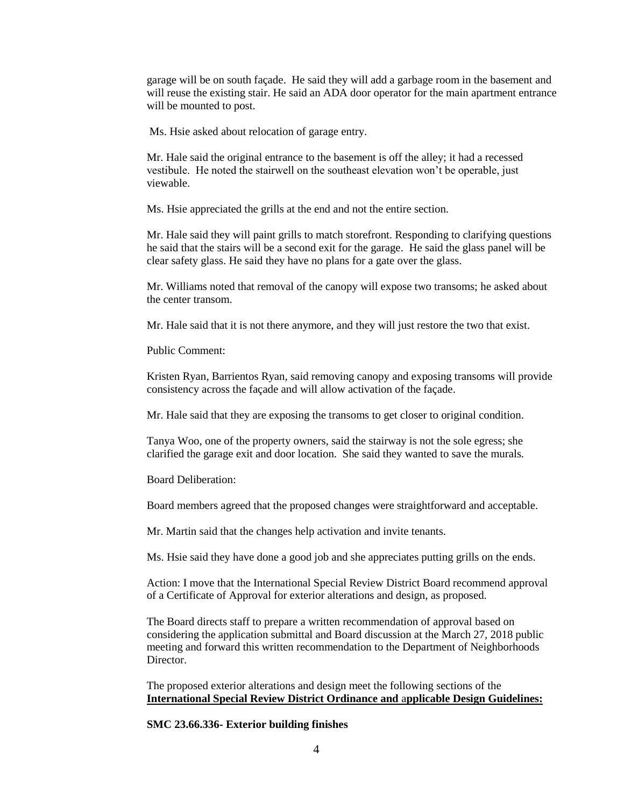garage will be on south façade. He said they will add a garbage room in the basement and will reuse the existing stair. He said an ADA door operator for the main apartment entrance will be mounted to post.

Ms. Hsie asked about relocation of garage entry.

Mr. Hale said the original entrance to the basement is off the alley; it had a recessed vestibule. He noted the stairwell on the southeast elevation won't be operable, just viewable.

Ms. Hsie appreciated the grills at the end and not the entire section.

Mr. Hale said they will paint grills to match storefront. Responding to clarifying questions he said that the stairs will be a second exit for the garage. He said the glass panel will be clear safety glass. He said they have no plans for a gate over the glass.

Mr. Williams noted that removal of the canopy will expose two transoms; he asked about the center transom.

Mr. Hale said that it is not there anymore, and they will just restore the two that exist.

Public Comment:

Kristen Ryan, Barrientos Ryan, said removing canopy and exposing transoms will provide consistency across the façade and will allow activation of the façade.

Mr. Hale said that they are exposing the transoms to get closer to original condition.

Tanya Woo, one of the property owners, said the stairway is not the sole egress; she clarified the garage exit and door location. She said they wanted to save the murals.

Board Deliberation:

Board members agreed that the proposed changes were straightforward and acceptable.

Mr. Martin said that the changes help activation and invite tenants.

Ms. Hsie said they have done a good job and she appreciates putting grills on the ends.

Action: I move that the International Special Review District Board recommend approval of a Certificate of Approval for exterior alterations and design, as proposed.

The Board directs staff to prepare a written recommendation of approval based on considering the application submittal and Board discussion at the March 27, 2018 public meeting and forward this written recommendation to the Department of Neighborhoods Director.

The proposed exterior alterations and design meet the following sections of the **International Special Review District Ordinance and** a**pplicable Design Guidelines:**

**SMC 23.66.336- Exterior building finishes**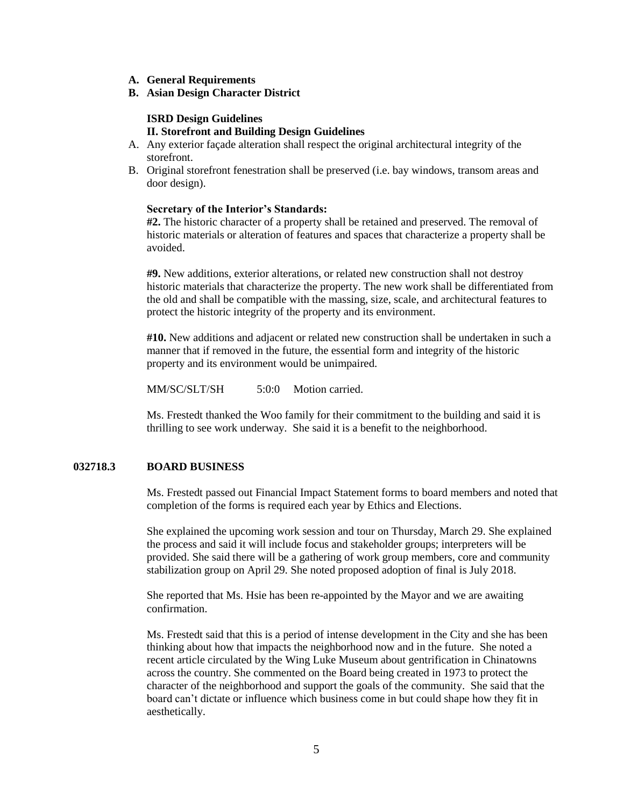- **A. General Requirements**
- **B. Asian Design Character District**

#### **ISRD Design Guidelines II. Storefront and Building Design Guidelines**

- A. Any exterior façade alteration shall respect the original architectural integrity of the storefront.
- B. Original storefront fenestration shall be preserved (i.e. bay windows, transom areas and door design).

#### **Secretary of the Interior's Standards:**

**#2.** The historic character of a property shall be retained and preserved. The removal of historic materials or alteration of features and spaces that characterize a property shall be avoided.

**#9.** New additions, exterior alterations, or related new construction shall not destroy historic materials that characterize the property. The new work shall be differentiated from the old and shall be compatible with the massing, size, scale, and architectural features to protect the historic integrity of the property and its environment.

**#10.** New additions and adjacent or related new construction shall be undertaken in such a manner that if removed in the future, the essential form and integrity of the historic property and its environment would be unimpaired.

MM/SC/SLT/SH 5:0:0 Motion carried.

Ms. Frestedt thanked the Woo family for their commitment to the building and said it is thrilling to see work underway. She said it is a benefit to the neighborhood.

#### **032718.3 BOARD BUSINESS**

Ms. Frestedt passed out Financial Impact Statement forms to board members and noted that completion of the forms is required each year by Ethics and Elections.

She explained the upcoming work session and tour on Thursday, March 29. She explained the process and said it will include focus and stakeholder groups; interpreters will be provided. She said there will be a gathering of work group members, core and community stabilization group on April 29. She noted proposed adoption of final is July 2018.

She reported that Ms. Hsie has been re-appointed by the Mayor and we are awaiting confirmation.

Ms. Frestedt said that this is a period of intense development in the City and she has been thinking about how that impacts the neighborhood now and in the future. She noted a recent article circulated by the Wing Luke Museum about gentrification in Chinatowns across the country. She commented on the Board being created in 1973 to protect the character of the neighborhood and support the goals of the community. She said that the board can't dictate or influence which business come in but could shape how they fit in aesthetically.